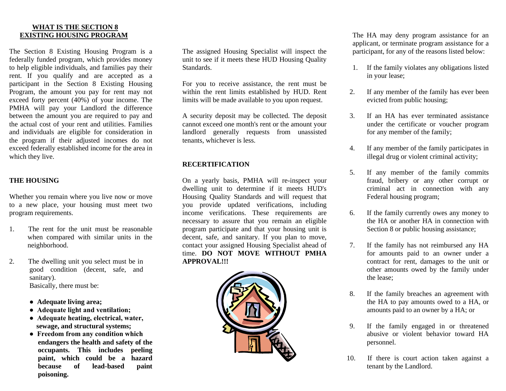#### **WHAT IS THE SECTION 8 EXISTING HOUSING PROGRAM**

The Section 8 Existing Housing Program is a federally funded program, which provides money to help eligible individuals, and families pay their rent. If you qualify and are accepted as a participant in the Section 8 Existing Housing Program, the amount you pay for rent may not exceed forty percent (40%) of your income. The PMHA will pay your Landlord the difference between the amount you are required to pay and the actual cost of your rent and utilities. Families and individuals are eligible for consideration in the program if their adjusted incomes do not exceed federally established income for the area in which they live.

# **THE HOUSING**

Whether you remain where you live now or move to a new place, your housing must meet two program requirements.

- 1. The rent for the unit must be reasonable when compared with similar units in the neighborhood.
- 2. The dwelling unit you select must be in good condition (decent, safe, and sanitary). Basically, there must be:
	- **Adequate living area;**
	- **Adequate light and ventilation;**
	- **Adequate heating, electrical, water, sewage, and structural systems;**
	- **Freedom from any condition which endangers the health and safety of the occupants. This includes peeling paint, which could be a hazard because of lead-based paint poisoning.**

The assigned Housing Specialist will inspect the unit to see if it meets these HUD Housing Quality Standards.

For you to receive assistance, the rent must be within the rent limits established by HUD. Rent limits will be made available to you upon request.

A security deposit may be collected. The deposit cannot exceed one month's rent or the amount your landlord generally requests from unassisted tenants, whichever is less.

#### **RECERTIFICATION**

On a yearly basis, PMHA will re-inspect your dwelling unit to determine if it meets HUD's Housing Quality Standards and will request that you provide updated verifications, including income verifications. These requirements are necessary to assure that you remain an eligible program participate and that your housing unit is decent, safe, and sanitary. If you plan to move, contact your assigned Housing Specialist ahead of time. **DO NOT MOVE WITHOUT PMHA APPROVAL!!!**



The HA may deny program assistance for an applicant, or terminate program assistance for a participant, for any of the reasons listed below:

- 1. If the family violates any obligations listed in your lease;
- 2. If any member of the family has ever been evicted from public housing;
- 3. If an HA has ever terminated assistance under the certificate or voucher program for any member of the family;
- 4. If any member of the family participates in illegal drug or violent criminal activity;
- 5. If any member of the family commits fraud, bribery or any other corrupt or criminal act in connection with any Federal housing program;
- 6. If the family currently owes any money to the HA or another HA in connection with Section 8 or public housing assistance;
- 7. If the family has not reimbursed any HA for amounts paid to an owner under a contract for rent, damages to the unit or other amounts owed by the family under the lease;
- 8. If the family breaches an agreement with the HA to pay amounts owed to a HA, or amounts paid to an owner by a HA; or
- 9. If the family engaged in or threatened abusive or violent behavior toward HA personnel.
- 10. If there is court action taken against a tenant by the Landlord.